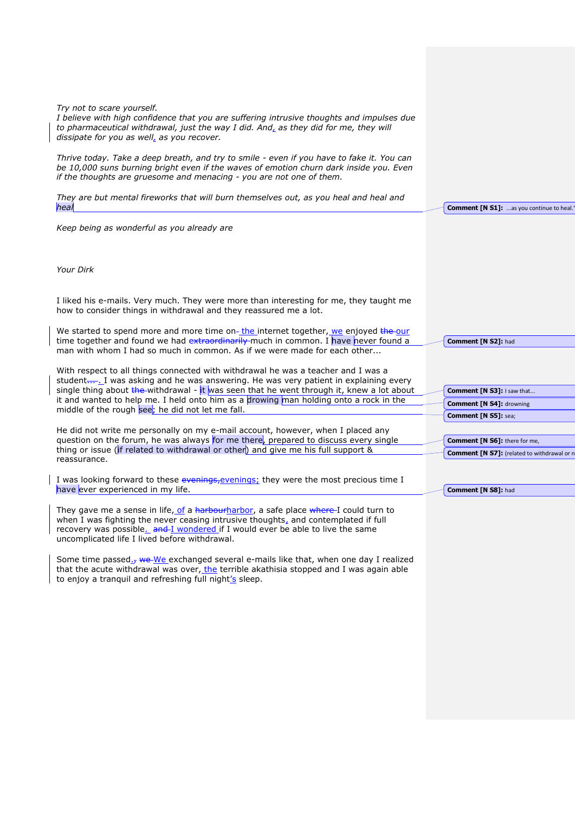| Try not to scare yourself.<br>I believe with high confidence that you are suffering intrusive thoughts and impulses due<br>to pharmaceutical withdrawal, just the way I did. And, as they did for me, they will<br>dissipate for you as well, as you recover.                                                 |                                                    |
|---------------------------------------------------------------------------------------------------------------------------------------------------------------------------------------------------------------------------------------------------------------------------------------------------------------|----------------------------------------------------|
| Thrive today. Take a deep breath, and try to smile - even if you have to fake it. You can<br>be 10,000 suns burning bright even if the waves of emotion churn dark inside you. Even<br>if the thoughts are gruesome and menacing - you are not one of them.                                                   |                                                    |
| They are but mental fireworks that will burn themselves out, as you heal and heal and<br>heal                                                                                                                                                                                                                 | <b>Comment [N S1]:</b> as you continue to heal.    |
| Keep being as wonderful as you already are                                                                                                                                                                                                                                                                    |                                                    |
| Your Dirk                                                                                                                                                                                                                                                                                                     |                                                    |
|                                                                                                                                                                                                                                                                                                               |                                                    |
| I liked his e-mails. Very much. They were more than interesting for me, they taught me<br>how to consider things in withdrawal and they reassured me a lot.                                                                                                                                                   |                                                    |
| We started to spend more and more time on-the internet together, we enjoyed the our<br>time together and found we had extraordinarily much in common. I have never found a<br>man with whom I had so much in common. As if we were made for each other                                                        | Comment [N S2]: had                                |
| With respect to all things connected with withdrawal he was a teacher and I was a<br>studentI was asking and he was answering. He was very patient in explaining every                                                                                                                                        |                                                    |
| single thing about the withdrawal - it was seen that he went through it, knew a lot about                                                                                                                                                                                                                     | Comment [N S3]: I saw that                         |
| it and wanted to help me. I held onto him as a drowing man holding onto a rock in the<br>middle of the rough see; he did not let me fall.                                                                                                                                                                     | <b>Comment [N S4]: drowning</b>                    |
|                                                                                                                                                                                                                                                                                                               | <b>Comment [N S5]: sea;</b>                        |
| He did not write me personally on my e-mail account, however, when I placed any<br>question on the forum, he was always for me there, prepared to discuss every single                                                                                                                                        | <b>Comment [N S6]:</b> there for me,               |
| thing or issue (if related to withdrawal or other) and give me his full support &                                                                                                                                                                                                                             | <b>Comment [N S7]:</b> (related to withdrawal or n |
| reassurance.                                                                                                                                                                                                                                                                                                  |                                                    |
| I was looking forward to these evenings, evenings; they were the most precious time I                                                                                                                                                                                                                         |                                                    |
| have ever experienced in my life.                                                                                                                                                                                                                                                                             | Comment [N S8]: had                                |
| They gave me a sense in life, of a harbourharbor, a safe place where I could turn to<br>when I was fighting the never ceasing intrusive thoughts, and contemplated if full<br>recovery was possible_ and I wondered if I would ever be able to live the same<br>uncomplicated life I lived before withdrawal. |                                                    |
| Some time passed <sub>17</sub> we-We exchanged several e-mails like that, when one day I realized<br>that the acute withdrawal was over, the terrible akathisia stopped and I was again able<br>to enjoy a tranquil and refreshing full night's sleep.                                                        |                                                    |
|                                                                                                                                                                                                                                                                                                               |                                                    |
|                                                                                                                                                                                                                                                                                                               |                                                    |
|                                                                                                                                                                                                                                                                                                               |                                                    |